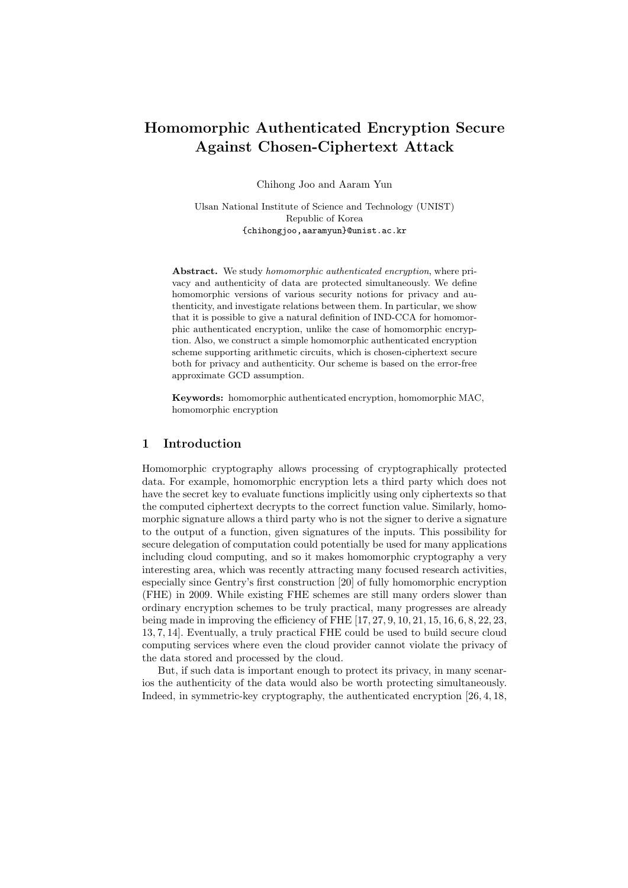# Homomorphic Authenticated Encryption Secure Against Chosen-Ciphertext Attack

Chihong Joo and Aaram Yun

Ulsan National Institute of Science and Technology (UNIST) Republic of Korea {chihongjoo,aaramyun}@unist.ac.kr

Abstract. We study *homomorphic authenticated encryption*, where privacy and authenticity of data are protected simultaneously. We define homomorphic versions of various security notions for privacy and authenticity, and investigate relations between them. In particular, we show that it is possible to give a natural definition of IND-CCA for homomorphic authenticated encryption, unlike the case of homomorphic encryption. Also, we construct a simple homomorphic authenticated encryption scheme supporting arithmetic circuits, which is chosen-ciphertext secure both for privacy and authenticity. Our scheme is based on the error-free approximate GCD assumption.

Keywords: homomorphic authenticated encryption, homomorphic MAC, homomorphic encryption

# 1 Introduction

Homomorphic cryptography allows processing of cryptographically protected data. For example, homomorphic encryption lets a third party which does not have the secret key to evaluate functions implicitly using only ciphertexts so that the computed ciphertext decrypts to the correct function value. Similarly, homomorphic signature allows a third party who is not the signer to derive a signature to the output of a function, given signatures of the inputs. This possibility for secure delegation of computation could potentially be used for many applications including cloud computing, and so it makes homomorphic cryptography a very interesting area, which was recently attracting many focused research activities, especially since Gentry's first construction [20] of fully homomorphic encryption (FHE) in 2009. While existing FHE schemes are still many orders slower than ordinary encryption schemes to be truly practical, many progresses are already being made in improving the efficiency of FHE [17, 27, 9, 10, 21, 15, 16, 6, 8, 22, 23, 13, 7, 14]. Eventually, a truly practical FHE could be used to build secure cloud computing services where even the cloud provider cannot violate the privacy of the data stored and processed by the cloud.

But, if such data is important enough to protect its privacy, in many scenarios the authenticity of the data would also be worth protecting simultaneously. Indeed, in symmetric-key cryptography, the authenticated encryption [26, 4, 18,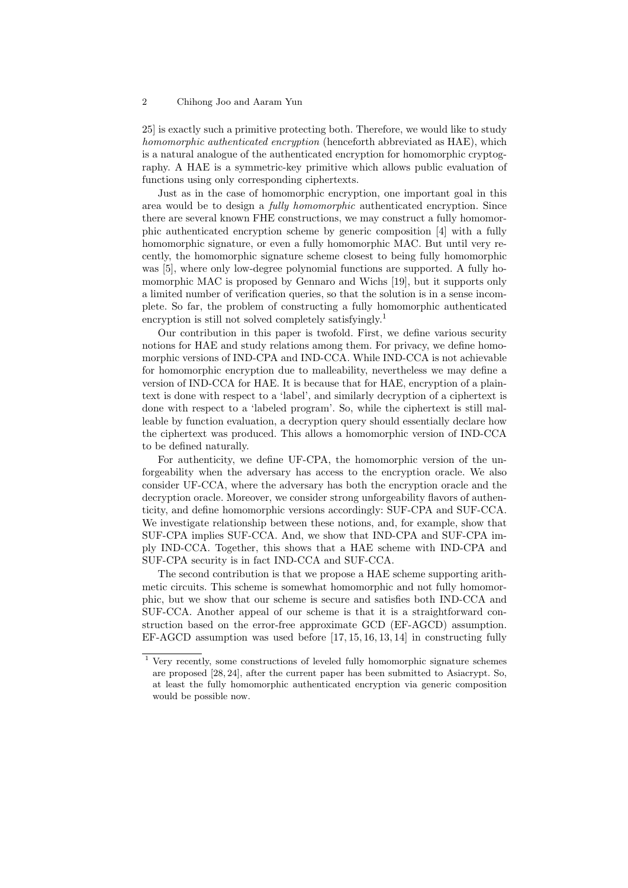25] is exactly such a primitive protecting both. Therefore, we would like to study homomorphic authenticated encryption (henceforth abbreviated as HAE), which is a natural analogue of the authenticated encryption for homomorphic cryptography. A HAE is a symmetric-key primitive which allows public evaluation of functions using only corresponding ciphertexts.

Just as in the case of homomorphic encryption, one important goal in this area would be to design a fully homomorphic authenticated encryption. Since there are several known FHE constructions, we may construct a fully homomorphic authenticated encryption scheme by generic composition [4] with a fully homomorphic signature, or even a fully homomorphic MAC. But until very recently, the homomorphic signature scheme closest to being fully homomorphic was [5], where only low-degree polynomial functions are supported. A fully homomorphic MAC is proposed by Gennaro and Wichs [19], but it supports only a limited number of verification queries, so that the solution is in a sense incomplete. So far, the problem of constructing a fully homomorphic authenticated encryption is still not solved completely satisfyingly.<sup>1</sup>

Our contribution in this paper is twofold. First, we define various security notions for HAE and study relations among them. For privacy, we define homomorphic versions of IND-CPA and IND-CCA. While IND-CCA is not achievable for homomorphic encryption due to malleability, nevertheless we may define a version of IND-CCA for HAE. It is because that for HAE, encryption of a plaintext is done with respect to a 'label', and similarly decryption of a ciphertext is done with respect to a 'labeled program'. So, while the ciphertext is still malleable by function evaluation, a decryption query should essentially declare how the ciphertext was produced. This allows a homomorphic version of IND-CCA to be defined naturally.

For authenticity, we define UF-CPA, the homomorphic version of the unforgeability when the adversary has access to the encryption oracle. We also consider UF-CCA, where the adversary has both the encryption oracle and the decryption oracle. Moreover, we consider strong unforgeability flavors of authenticity, and define homomorphic versions accordingly: SUF-CPA and SUF-CCA. We investigate relationship between these notions, and, for example, show that SUF-CPA implies SUF-CCA. And, we show that IND-CPA and SUF-CPA imply IND-CCA. Together, this shows that a HAE scheme with IND-CPA and SUF-CPA security is in fact IND-CCA and SUF-CCA.

The second contribution is that we propose a HAE scheme supporting arithmetic circuits. This scheme is somewhat homomorphic and not fully homomorphic, but we show that our scheme is secure and satisfies both IND-CCA and SUF-CCA. Another appeal of our scheme is that it is a straightforward construction based on the error-free approximate GCD (EF-AGCD) assumption. EF-AGCD assumption was used before [17, 15, 16, 13, 14] in constructing fully

<sup>1</sup> Very recently, some constructions of leveled fully homomorphic signature schemes are proposed [28, 24], after the current paper has been submitted to Asiacrypt. So, at least the fully homomorphic authenticated encryption via generic composition would be possible now.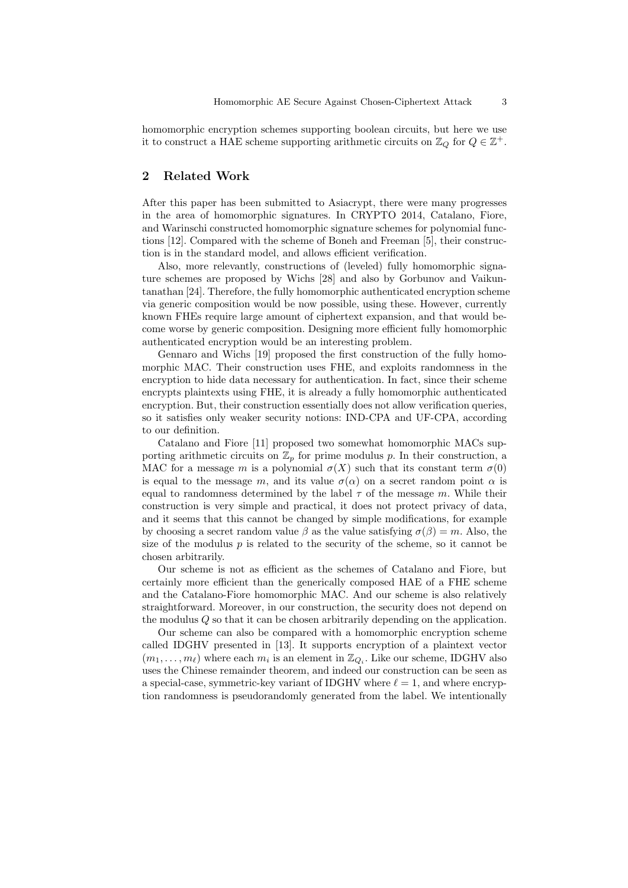homomorphic encryption schemes supporting boolean circuits, but here we use it to construct a HAE scheme supporting arithmetic circuits on  $\mathbb{Z}_Q$  for  $Q \in \mathbb{Z}^+$ .

# 2 Related Work

After this paper has been submitted to Asiacrypt, there were many progresses in the area of homomorphic signatures. In CRYPTO 2014, Catalano, Fiore, and Warinschi constructed homomorphic signature schemes for polynomial functions [12]. Compared with the scheme of Boneh and Freeman [5], their construction is in the standard model, and allows efficient verification.

Also, more relevantly, constructions of (leveled) fully homomorphic signature schemes are proposed by Wichs [28] and also by Gorbunov and Vaikuntanathan [24]. Therefore, the fully homomorphic authenticated encryption scheme via generic composition would be now possible, using these. However, currently known FHEs require large amount of ciphertext expansion, and that would become worse by generic composition. Designing more efficient fully homomorphic authenticated encryption would be an interesting problem.

Gennaro and Wichs [19] proposed the first construction of the fully homomorphic MAC. Their construction uses FHE, and exploits randomness in the encryption to hide data necessary for authentication. In fact, since their scheme encrypts plaintexts using FHE, it is already a fully homomorphic authenticated encryption. But, their construction essentially does not allow verification queries, so it satisfies only weaker security notions: IND-CPA and UF-CPA, according to our definition.

Catalano and Fiore [11] proposed two somewhat homomorphic MACs supporting arithmetic circuits on  $\mathbb{Z}_p$  for prime modulus p. In their construction, a MAC for a message m is a polynomial  $\sigma(X)$  such that its constant term  $\sigma(0)$ is equal to the message m, and its value  $\sigma(\alpha)$  on a secret random point  $\alpha$  is equal to randomness determined by the label  $\tau$  of the message m. While their construction is very simple and practical, it does not protect privacy of data, and it seems that this cannot be changed by simple modifications, for example by choosing a secret random value  $\beta$  as the value satisfying  $\sigma(\beta) = m$ . Also, the size of the modulus  $p$  is related to the security of the scheme, so it cannot be chosen arbitrarily.

Our scheme is not as efficient as the schemes of Catalano and Fiore, but certainly more efficient than the generically composed HAE of a FHE scheme and the Catalano-Fiore homomorphic MAC. And our scheme is also relatively straightforward. Moreover, in our construction, the security does not depend on the modulus Q so that it can be chosen arbitrarily depending on the application.

Our scheme can also be compared with a homomorphic encryption scheme called IDGHV presented in [13]. It supports encryption of a plaintext vector  $(m_1, \ldots, m_\ell)$  where each  $m_i$  is an element in  $\mathbb{Z}_{Q_i}$ . Like our scheme, IDGHV also uses the Chinese remainder theorem, and indeed our construction can be seen as a special-case, symmetric-key variant of IDGHV where  $\ell = 1$ , and where encryption randomness is pseudorandomly generated from the label. We intentionally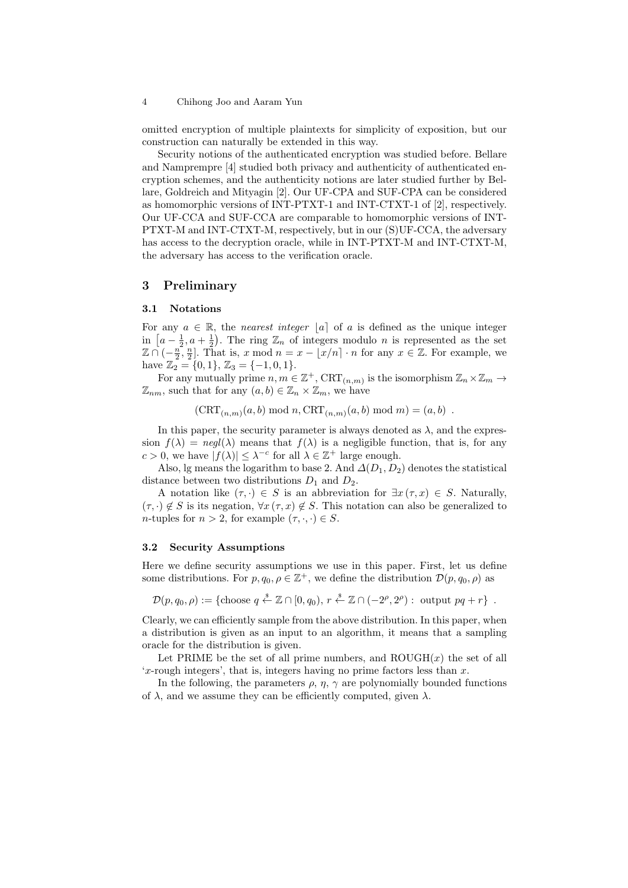omitted encryption of multiple plaintexts for simplicity of exposition, but our construction can naturally be extended in this way.

Security notions of the authenticated encryption was studied before. Bellare and Namprempre [4] studied both privacy and authenticity of authenticated encryption schemes, and the authenticity notions are later studied further by Bellare, Goldreich and Mityagin [2]. Our UF-CPA and SUF-CPA can be considered as homomorphic versions of INT-PTXT-1 and INT-CTXT-1 of [2], respectively. Our UF-CCA and SUF-CCA are comparable to homomorphic versions of INT-PTXT-M and INT-CTXT-M, respectively, but in our (S)UF-CCA, the adversary has access to the decryption oracle, while in INT-PTXT-M and INT-CTXT-M, the adversary has access to the verification oracle.

# 3 Preliminary

### 3.1 Notations

For any  $a \in \mathbb{R}$ , the *nearest integer* |a| of a is defined as the unique integer in  $[a - \frac{1}{2}, a + \frac{1}{2})$ . The ring  $\mathbb{Z}_n$  of integers modulo n is represented as the set  $\mathbb{Z} \cap (-\frac{n}{2}, \frac{n}{2}]$ . That is, x mod  $n = x - \lfloor x/n \rfloor \cdot n$  for any  $x \in \mathbb{Z}$ . For example, we have  $\mathbb{Z}_2 = \{0, 1\}, \mathbb{Z}_3 = \{-1, 0, 1\}.$ 

For any mutually prime  $n, m \in \mathbb{Z}^+$ ,  $\mathrm{CRT}_{(n,m)}$  is the isomorphism  $\mathbb{Z}_n \times \mathbb{Z}_m \to$  $\mathbb{Z}_{nm}$ , such that for any  $(a, b) \in \mathbb{Z}_n \times \mathbb{Z}_m$ , we have

$$
(\mathrm{CRT}_{(n,m)}(a,b) \bmod n, \mathrm{CRT}_{(n,m)}(a,b) \bmod m) = (a,b) .
$$

In this paper, the security parameter is always denoted as  $\lambda$ , and the expression  $f(\lambda) = \text{neql}(\lambda)$  means that  $f(\lambda)$  is a negligible function, that is, for any  $c > 0$ , we have  $|f(\lambda)| \leq \lambda^{-c}$  for all  $\lambda \in \mathbb{Z}^+$  large enough.

Also, lg means the logarithm to base 2. And  $\Delta(D_1, D_2)$  denotes the statistical distance between two distributions  $D_1$  and  $D_2$ .

A notation like  $(\tau, \cdot) \in S$  is an abbreviation for  $\exists x (\tau, x) \in S$ . Naturally,  $(\tau, \cdot) \notin S$  is its negation,  $\forall x (\tau, x) \notin S$ . This notation can also be generalized to *n*-tuples for  $n > 2$ , for example  $(\tau, \cdot, \cdot) \in S$ .

### 3.2 Security Assumptions

Here we define security assumptions we use in this paper. First, let us define some distributions. For  $p, q_0, \rho \in \mathbb{Z}^+$ , we define the distribution  $\mathcal{D}(p, q_0, \rho)$  as

$$
\mathcal{D}(p,q_0,\rho) := \{ \text{choose } q \stackrel{\hspace{0.1em}\mathsf{\scriptscriptstyle\$}}{\leftarrow} \mathbb{Z} \cap [0,q_0), \ r \stackrel{\hspace{0.1em}\mathsf{\scriptscriptstyle\$}}{\leftarrow} \mathbb{Z} \cap (-2^\rho,2^\rho) : \text{ output } pq + r \} \ .
$$

Clearly, we can efficiently sample from the above distribution. In this paper, when a distribution is given as an input to an algorithm, it means that a sampling oracle for the distribution is given.

Let PRIME be the set of all prime numbers, and  $ROUGH(x)$  the set of all 'x-rough integers', that is, integers having no prime factors less than  $x$ .

In the following, the parameters  $\rho$ ,  $\eta$ ,  $\gamma$  are polynomially bounded functions of  $\lambda$ , and we assume they can be efficiently computed, given  $\lambda$ .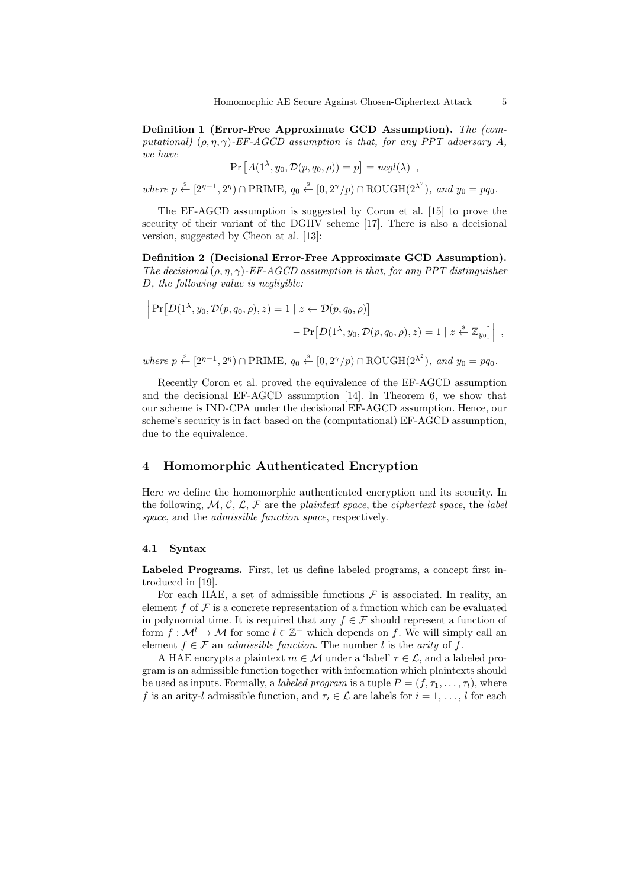Definition 1 (Error-Free Approximate GCD Assumption). The (computational)  $(\rho, \eta, \gamma)$ -EF-AGCD assumption is that, for any PPT adversary A, we have

$$
Pr [A(1\lambda, y0, \mathcal{D}(p, q0, \rho)) = p] = negl(\lambda) ,
$$

where  $p \stackrel{\$}{\leftarrow} [2^{\eta-1}, 2^{\eta}) \cap \text{PRIME}, q_0 \stackrel{\$}{\leftarrow} [0, 2^{\gamma}/p) \cap \text{ROUGH}(2^{\lambda^2}), and y_0 = pq_0.$ 

The EF-AGCD assumption is suggested by Coron et al. [15] to prove the security of their variant of the DGHV scheme [17]. There is also a decisional version, suggested by Cheon at al. [13]:

Definition 2 (Decisional Error-Free Approximate GCD Assumption). The decisional  $(\rho, \eta, \gamma)$ -EF-AGCD assumption is that, for any PPT distinguisher D, the following value is negligible:

$$
\left| \Pr\left[D(1^{\lambda}, y_0, \mathcal{D}(p, q_0, \rho), z) = 1 \mid z \leftarrow \mathcal{D}(p, q_0, \rho) \right] - \Pr\left[D(1^{\lambda}, y_0, \mathcal{D}(p, q_0, \rho), z) = 1 \mid z \stackrel{\hspace{0.1em}\mathsf{\scriptscriptstyle\$}}{\leftarrow} \mathbb{Z}_{y_0}\right] \right| ,
$$

where  $p \stackrel{\$}{\leftarrow} [2^{\eta-1}, 2^{\eta}) \cap \text{PRIME}, q_0 \stackrel{\$}{\leftarrow} [0, 2^{\gamma}/p) \cap \text{ROUGH}(2^{\lambda^2}), and y_0 = pq_0.$ 

Recently Coron et al. proved the equivalence of the EF-AGCD assumption and the decisional EF-AGCD assumption [14]. In Theorem 6, we show that our scheme is IND-CPA under the decisional EF-AGCD assumption. Hence, our scheme's security is in fact based on the (computational) EF-AGCD assumption, due to the equivalence.

# 4 Homomorphic Authenticated Encryption

Here we define the homomorphic authenticated encryption and its security. In the following,  $M, C, \mathcal{L}, \mathcal{F}$  are the plaintext space, the ciphertext space, the label space, and the *admissible function space*, respectively.

### 4.1 Syntax

Labeled Programs. First, let us define labeled programs, a concept first introduced in [19].

For each HAE, a set of admissible functions  $\mathcal F$  is associated. In reality, an element  $f$  of  $\mathcal F$  is a concrete representation of a function which can be evaluated in polynomial time. It is required that any  $f \in \mathcal{F}$  should represent a function of form  $f: \mathcal{M}^l \to \mathcal{M}$  for some  $l \in \mathbb{Z}^+$  which depends on f. We will simply call an element  $f \in \mathcal{F}$  an *admissible function*. The number l is the *arity* of f.

A HAE encrypts a plaintext  $m \in \mathcal{M}$  under a 'label'  $\tau \in \mathcal{L}$ , and a labeled program is an admissible function together with information which plaintexts should be used as inputs. Formally, a *labeled program* is a tuple  $P = (f, \tau_1, \ldots, \tau_l)$ , where f is an arity-l admissible function, and  $\tau_i \in \mathcal{L}$  are labels for  $i = 1, \ldots, l$  for each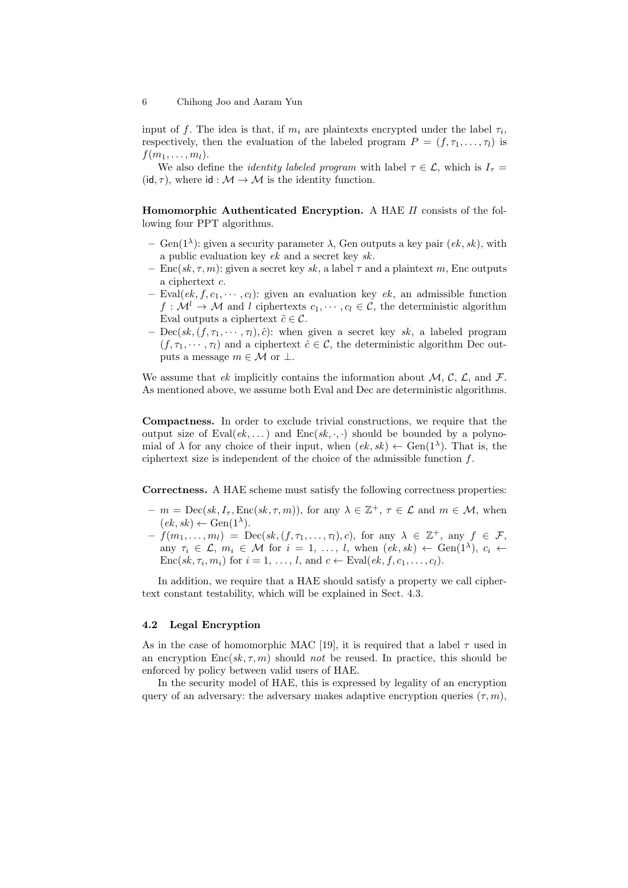input of f. The idea is that, if  $m_i$  are plaintexts encrypted under the label  $\tau_i$ , respectively, then the evaluation of the labeled program  $P = (f, \tau_1, \ldots, \tau_l)$  is  $f(m_1, \ldots, m_l)$ .

We also define the *identity labeled program* with label  $\tau \in \mathcal{L}$ , which is  $I_{\tau} =$  $(id, \tau)$ , where  $id : \mathcal{M} \to \mathcal{M}$  is the identity function.

Homomorphic Authenticated Encryption. A HAE  $\Pi$  consists of the following four PPT algorithms.

- Gen(1<sup> $\lambda$ </sup>): given a security parameter  $\lambda$ , Gen outputs a key pair (ek, sk), with a public evaluation key ek and a secret key sk.
- Enc(sk,  $\tau$ , m): given a secret key sk, a label  $\tau$  and a plaintext m, Enc outputs a ciphertext c.
- Eval $(ek, f, c_1, \dots, c_l)$ : given an evaluation key ek, an admissible function  $f: \mathcal{M}^l \to \mathcal{M}$  and l ciphertexts  $c_1, \dots, c_l \in \mathcal{C}$ , the deterministic algorithm Eval outputs a ciphertext  $\tilde{c} \in \mathcal{C}$ .
- Dec(sk,  $(f, \tau_1, \dots, \tau_l)$ , ĉ): when given a secret key sk, a labeled program  $(f, \tau_1, \dots, \tau_l)$  and a ciphertext  $\hat{c} \in \mathcal{C}$ , the deterministic algorithm Dec outputs a message  $m \in \mathcal{M}$  or  $\perp$ .

We assume that  $ek$  implicitly contains the information about  $M$ ,  $C$ ,  $\mathcal{L}$ , and  $\mathcal{F}$ . As mentioned above, we assume both Eval and Dec are deterministic algorithms.

Compactness. In order to exclude trivial constructions, we require that the output size of  $Eval(ek, ...)$  and  $Enc(sk, \cdot, \cdot)$  should be bounded by a polynomial of  $\lambda$  for any choice of their input, when  $(ek, sk) \leftarrow \text{Gen}(1^{\lambda})$ . That is, the ciphertext size is independent of the choice of the admissible function  $f$ .

Correctness. A HAE scheme must satisfy the following correctness properties:

- $-m = \text{Dec}(sk, I_{\tau}, \text{Enc}(sk, \tau, m))$ , for any  $\lambda \in \mathbb{Z}^+, \tau \in \mathcal{L}$  and  $m \in \mathcal{M}$ , when  $(ek, sk) \leftarrow Gen(1^{\lambda}).$
- $(-f(m_1, \ldots, m_l) = \text{Dec}(sk, (f, \tau_1, \ldots, \tau_l), c)$ , for any  $\lambda \in \mathbb{Z}^+$ , any  $f \in \mathcal{F}$ , any  $\tau_i \in \mathcal{L}, m_i \in \mathcal{M}$  for  $i = 1, \ldots, l$ , when  $(ek, sk) \leftarrow \text{Gen}(1^{\lambda}), c_i \leftarrow$  $Enc(sk, \tau_i, m_i)$  for  $i = 1, \ldots, l$ , and  $c \leftarrow Eval(ek, f, c_1, \ldots, c_l)$ .

In addition, we require that a HAE should satisfy a property we call ciphertext constant testability, which will be explained in Sect. 4.3.

### 4.2 Legal Encryption

As in the case of homomorphic MAC [19], it is required that a label  $\tau$  used in an encryption  $Enc(sk, \tau, m)$  should not be reused. In practice, this should be enforced by policy between valid users of HAE.

In the security model of HAE, this is expressed by legality of an encryption query of an adversary: the adversary makes adaptive encryption queries  $(\tau, m)$ ,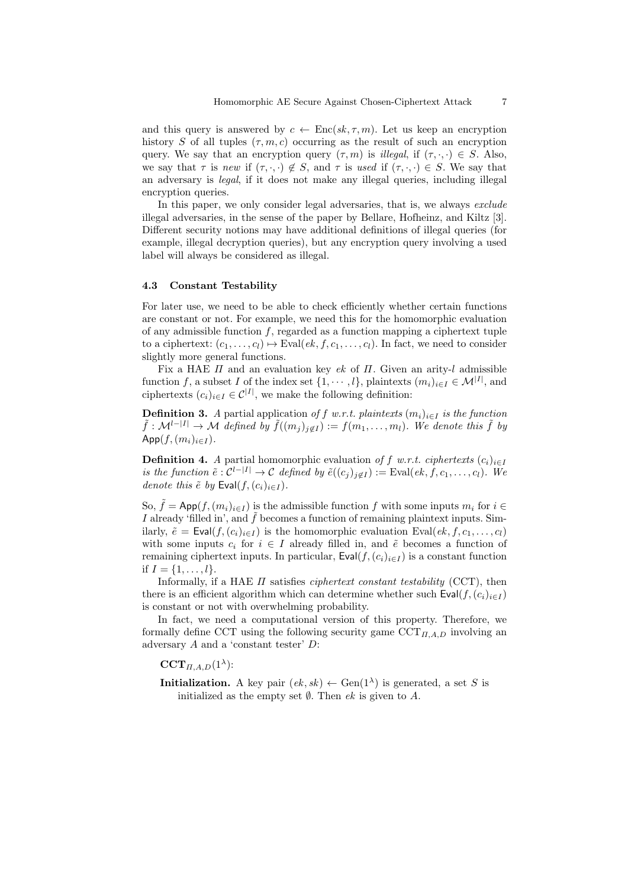and this query is answered by  $c \leftarrow \text{Enc}(sk, \tau, m)$ . Let us keep an encryption history S of all tuples  $(\tau, m, c)$  occurring as the result of such an encryption query. We say that an encryption query  $(\tau, m)$  is *illegal*, if  $(\tau, \cdot, \cdot) \in S$ . Also, we say that  $\tau$  is new if  $(\tau, \cdot, \cdot) \notin S$ , and  $\tau$  is used if  $(\tau, \cdot, \cdot) \in S$ . We say that an adversary is legal, if it does not make any illegal queries, including illegal encryption queries.

In this paper, we only consider legal adversaries, that is, we always exclude illegal adversaries, in the sense of the paper by Bellare, Hofheinz, and Kiltz [3]. Different security notions may have additional definitions of illegal queries (for example, illegal decryption queries), but any encryption query involving a used label will always be considered as illegal.

### 4.3 Constant Testability

For later use, we need to be able to check efficiently whether certain functions are constant or not. For example, we need this for the homomorphic evaluation of any admissible function  $f$ , regarded as a function mapping a ciphertext tuple to a ciphertext:  $(c_1, \ldots, c_l) \mapsto \text{Eval}(ek, f, c_1, \ldots, c_l)$ . In fact, we need to consider slightly more general functions.

Fix a HAE  $\Pi$  and an evaluation key ek of  $\Pi$ . Given an arity-l admissible function f, a subset I of the index set  $\{1, \dots, l\}$ , plaintexts  $(m_i)_{i \in I} \in \mathcal{M}^{|I|}$ , and ciphertexts  $(c_i)_{i \in I} \in \mathcal{C}^{|I|}$ , we make the following definition:

**Definition 3.** A partial application of f w.r.t. plaintexts  $(m_i)_{i \in I}$  is the function  $\tilde{f}: \mathcal{M}^{l-|I|} \to \mathcal{M}$  defined by  $\tilde{f}((m_j)_{j \notin I}) := f(m_1, \ldots, m_l)$ . We denote this  $\tilde{f}$  by App $(f,(m_i)_{i\in I})$ .

**Definition 4.** A partial homomorphic evaluation of f w.r.t. ciphertexts  $(c_i)_{i\in I}$ is the function  $\tilde{e}: C^{l-|I|} \to C$  defined by  $\tilde{e}((c_j)_{j \notin I}) := \text{Eval}(ek, f, c_1, \ldots, c_l)$ . We denote this  $\tilde{e}$  by Eval $(f, (c_i)_{i\in I})$ .

So,  $\tilde{f} = \mathsf{App}(f, (m_i)_{i \in I})$  is the admissible function f with some inputs  $m_i$  for  $i \in$ I already 'filled in', and  $\tilde{f}$  becomes a function of remaining plaintext inputs. Similarly,  $\tilde{e} = \text{Eval}(f, (c_i)_{i \in I})$  is the homomorphic evaluation Eval( $ek, f, c_1, \ldots, c_l$ ) with some inputs  $c_i$  for  $i \in I$  already filled in, and  $\tilde{e}$  becomes a function of remaining ciphertext inputs. In particular,  $\text{Eval}(f, (c_i)_{i \in I})$  is a constant function if  $I = \{1, \ldots, l\}.$ 

Informally, if a HAE  $\Pi$  satisfies *ciphertext constant testability* (CCT), then there is an efficient algorithm which can determine whether such  $\textsf{Eval}(f,(c_i)_{i\in I})$ is constant or not with overwhelming probability.

In fact, we need a computational version of this property. Therefore, we formally define CCT using the following security game  $CCT_{H.A.D}$  involving an adversary  $A$  and a 'constant tester'  $D$ :

 $\mathbf{CCT}_{\Pi,A,D}(1^{\lambda})$ :

**Initialization.** A key pair  $(ek, sk) \leftarrow \text{Gen}(1^{\lambda})$  is generated, a set S is initialized as the empty set  $\emptyset$ . Then  $ek$  is given to A.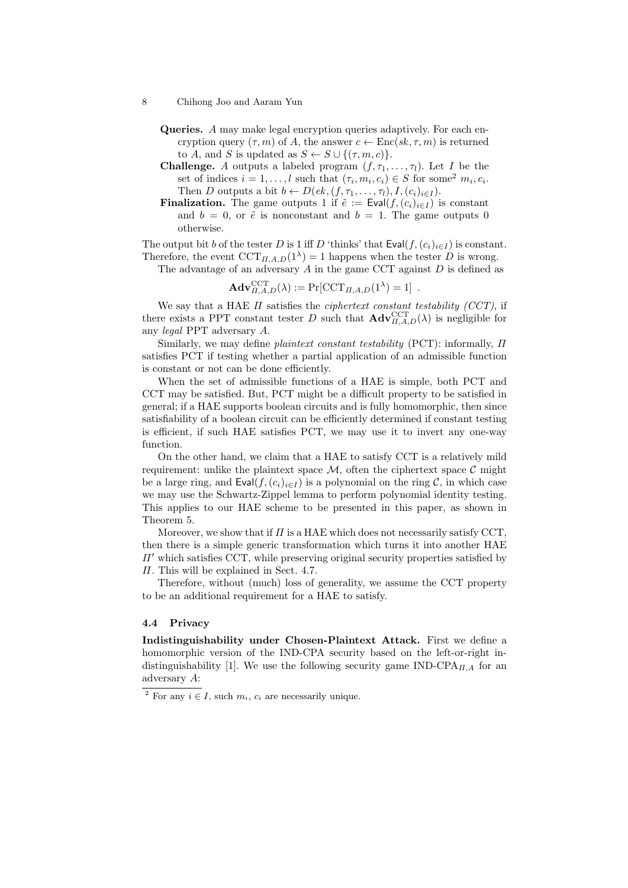- Queries. A may make legal encryption queries adaptively. For each encryption query  $(\tau, m)$  of A, the answer  $c \leftarrow \text{Enc}(sk, \tau, m)$  is returned to A, and S is updated as  $S \leftarrow S \cup \{(\tau, m, c)\}.$
- **Challenge.** A outputs a labeled program  $(f, \tau_1, \ldots, \tau_l)$ . Let I be the set of indices  $i = 1, ..., l$  such that  $(\tau_i, m_i, c_i) \in S$  for some<sup>2</sup>  $m_i, c_i$ . Then D outputs a bit  $b \leftarrow D(ek, (f, \tau_1, \ldots, \tau_l), I, (c_i)_{i \in I}).$
- **Finalization.** The game outputs 1 if  $\tilde{e} := \text{Eval}(f, (c_i)_{i \in I})$  is constant and  $b = 0$ , or  $\tilde{e}$  is nonconstant and  $b = 1$ . The game outputs 0 otherwise.

The output bit b of the tester D is 1 iff D 'thinks' that  $\textsf{Eval}(f,(c_i)_{i\in I})$  is constant. Therefore, the event  $CCT_{\Pi,A,D}(1^{\lambda})=1$  happens when the tester D is wrong.

The advantage of an adversary  $A$  in the game CCT against  $D$  is defined as

$$
\mathbf{Adv}_{\Pi,A,D}^{\mathrm{CCT}}(\lambda) := \Pr[\mathrm{CCT}_{\Pi,A,D}(1^{\lambda}) = 1] .
$$

We say that a HAE  $\Pi$  satisfies the *ciphertext constant testability (CCT)*, if there exists a PPT constant tester D such that  $\mathbf{Adv}_{II,A,D}^{\mathrm{CCT}}(\lambda)$  is negligible for any legal PPT adversary A.

Similarly, we may define plaintext constant testability (PCT): informally, Π satisfies PCT if testing whether a partial application of an admissible function is constant or not can be done efficiently.

When the set of admissible functions of a HAE is simple, both PCT and CCT may be satisfied. But, PCT might be a difficult property to be satisfied in general; if a HAE supports boolean circuits and is fully homomorphic, then since satisfiability of a boolean circuit can be efficiently determined if constant testing is efficient, if such HAE satisfies PCT, we may use it to invert any one-way function.

On the other hand, we claim that a HAE to satisfy CCT is a relatively mild requirement: unlike the plaintext space  $\mathcal{M}$ , often the ciphertext space  $\mathcal{C}$  might be a large ring, and  $\text{Eval}(f, (c_i)_{i\in I})$  is a polynomial on the ring C, in which case we may use the Schwartz-Zippel lemma to perform polynomial identity testing. This applies to our HAE scheme to be presented in this paper, as shown in Theorem 5.

Moreover, we show that if  $\Pi$  is a HAE which does not necessarily satisfy CCT. then there is a simple generic transformation which turns it into another HAE  $\Pi'$  which satisfies CCT, while preserving original security properties satisfied by  $\Pi$ . This will be explained in Sect. 4.7.

Therefore, without (much) loss of generality, we assume the CCT property to be an additional requirement for a HAE to satisfy.

### 4.4 Privacy

Indistinguishability under Chosen-Plaintext Attack. First we define a homomorphic version of the IND-CPA security based on the left-or-right indistinguishability [1]. We use the following security game IND-CPA<sub> $\Pi$ A</sub> for an adversary A:

<sup>&</sup>lt;sup>2</sup> For any  $i \in I$ , such  $m_i$ ,  $c_i$  are necessarily unique.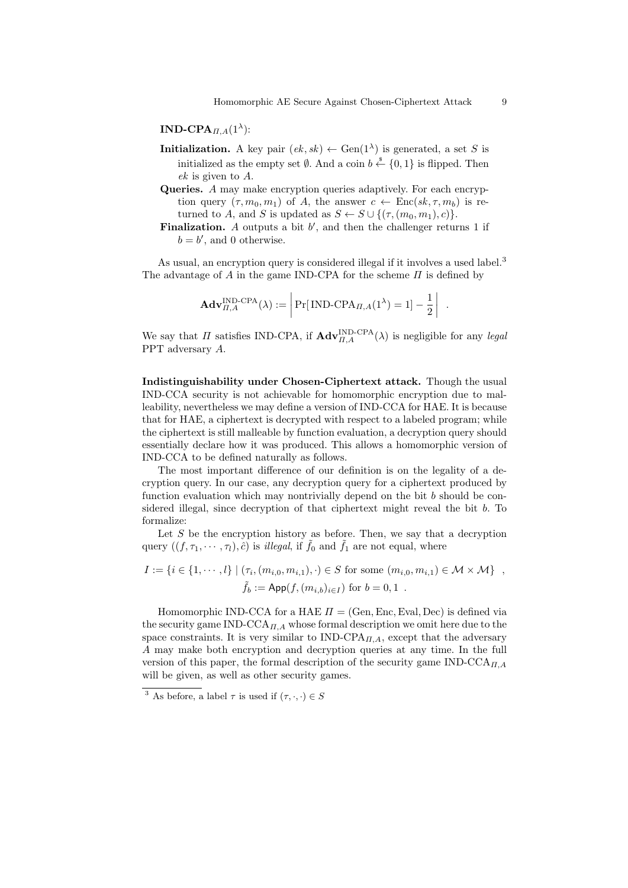$\mathbf{IND}\text{-}\mathbf{CPA}_{\Pi,A}(1^\lambda)$ :

- **Initialization.** A key pair  $(ek, sk) \leftarrow \text{Gen}(1^{\lambda})$  is generated, a set S is initialized as the empty set  $\emptyset$ . And a coin  $b \stackrel{\$}{\leftarrow} \{0,1\}$  is flipped. Then ek is given to A.
- Queries. A may make encryption queries adaptively. For each encryption query  $(\tau, m_0, m_1)$  of A, the answer  $c \leftarrow \text{Enc}(sk, \tau, m_b)$  is returned to A, and S is updated as  $S \leftarrow S \cup \{(\tau, (m_0, m_1), c)\}.$
- Finalization. A outputs a bit  $b'$ , and then the challenger returns 1 if  $b = b'$ , and 0 otherwise.

As usual, an encryption query is considered illegal if it involves a used label.<sup>3</sup> The advantage of A in the game IND-CPA for the scheme  $\Pi$  is defined by

$$
\mathbf{Adv}_{\Pi,A}^{\text{IND-CPA}}(\lambda) := \left| \Pr[\text{IND-CPA}_{\Pi,A}(1^{\lambda}) = 1] - \frac{1}{2} \right| .
$$

We say that  $\Pi$  satisfies IND-CPA, if  $\mathbf{Adv}_{\Pi,A}^{\text{IND-CPA}}(\lambda)$  is negligible for any legal PPT adversary A.

Indistinguishability under Chosen-Ciphertext attack. Though the usual IND-CCA security is not achievable for homomorphic encryption due to malleability, nevertheless we may define a version of IND-CCA for HAE. It is because that for HAE, a ciphertext is decrypted with respect to a labeled program; while the ciphertext is still malleable by function evaluation, a decryption query should essentially declare how it was produced. This allows a homomorphic version of IND-CCA to be defined naturally as follows.

The most important difference of our definition is on the legality of a decryption query. In our case, any decryption query for a ciphertext produced by function evaluation which may nontrivially depend on the bit  $b$  should be considered illegal, since decryption of that ciphertext might reveal the bit  $b$ . To formalize:

Let  $S$  be the encryption history as before. Then, we say that a decryption query  $((f, \tau_1, \cdots, \tau_l), \hat{c})$  is *illegal*, if  $\hat{f}_0$  and  $\hat{f}_1$  are not equal, where

$$
I := \{ i \in \{1, \dots, l\} \mid (\tau_i, (m_{i,0}, m_{i,1}), \cdot) \in S \text{ for some } (m_{i,0}, m_{i,1}) \in M \times M \} ,
$$
  

$$
\tilde{f}_b := \mathsf{App}(f, (m_{i,b})_{i \in I}) \text{ for } b = 0, 1 .
$$

Homomorphic IND-CCA for a HAE  $\Pi = (Gen, Enc,Eval, Dec)$  is defined via the security game  $\text{IND-CCA}_{\Pi,A}$  whose formal description we omit here due to the space constraints. It is very similar to  $IND-CPA_{\Pi,A}$ , except that the adversary A may make both encryption and decryption queries at any time. In the full version of this paper, the formal description of the security game IND-CCA $_{H,A}$ will be given, as well as other security games.

<sup>&</sup>lt;sup>3</sup> As before, a label  $\tau$  is used if  $(\tau, \cdot, \cdot) \in S$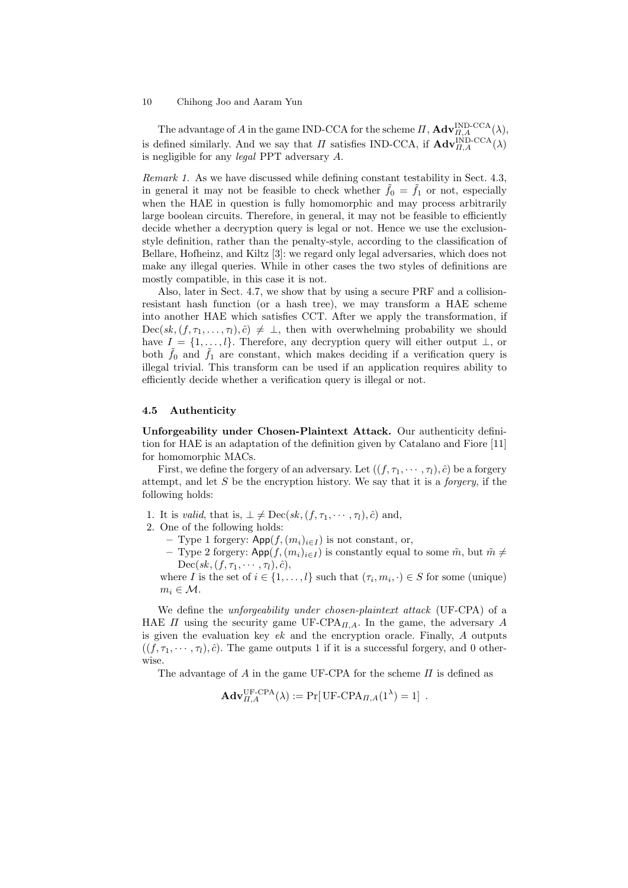The advantage of A in the game IND-CCA for the scheme  $\Pi$ ,  $\mathbf{Adv}_{\Pi,A}^{\text{IND-CCA}}(\lambda)$ , is defined similarly. And we say that  $\Pi$  satisfies IND-CCA, if  $\mathbf{Adv}_{\Pi,A}^{\text{IND-CCA}}(\lambda)$ is negligible for any legal PPT adversary A.

Remark 1. As we have discussed while defining constant testability in Sect. 4.3, in general it may not be feasible to check whether  $f_0 = f_1$  or not, especially when the HAE in question is fully homomorphic and may process arbitrarily large boolean circuits. Therefore, in general, it may not be feasible to efficiently decide whether a decryption query is legal or not. Hence we use the exclusionstyle definition, rather than the penalty-style, according to the classification of Bellare, Hofheinz, and Kiltz [3]: we regard only legal adversaries, which does not make any illegal queries. While in other cases the two styles of definitions are mostly compatible, in this case it is not.

Also, later in Sect. 4.7, we show that by using a secure PRF and a collisionresistant hash function (or a hash tree), we may transform a HAE scheme into another HAE which satisfies CCT. After we apply the transformation, if  $Dec(sk,(f,\tau_1,\ldots,\tau_l),\hat{c}) \neq \perp$ , then with overwhelming probability we should have  $I = \{1, \ldots, l\}$ . Therefore, any decryption query will either output  $\perp$ , or both  $f_0$  and  $f_1$  are constant, which makes deciding if a verification query is illegal trivial. This transform can be used if an application requires ability to efficiently decide whether a verification query is illegal or not.

### 4.5 Authenticity

Unforgeability under Chosen-Plaintext Attack. Our authenticity definition for HAE is an adaptation of the definition given by Catalano and Fiore [11] for homomorphic MACs.

First, we define the forgery of an adversary. Let  $((f, \tau_1, \dots, \tau_l), \hat{c})$  be a forgery attempt, and let  $S$  be the encryption history. We say that it is a *forgery*, if the following holds:

- 1. It is *valid*, that is,  $\bot \neq \mathrm{Dec}(sk, (f, \tau_1, \dots, \tau_l), \hat{c})$  and,
- 2. One of the following holds:
	- Type 1 forgery:  $\mathsf{App}(f,(m_i)_{i\in I})$  is not constant, or,
	- Type 2 forgery:  $\mathsf{App}(f,(m_i)_{i\in I})$  is constantly equal to some  $\tilde{m}$ , but  $\tilde{m}\neq$  $Dec(sk,(f,\tau_1,\cdots,\tau_l),\hat{c}),$

where I is the set of  $i \in \{1, ..., l\}$  such that  $(\tau_i, m_i, \cdot) \in S$  for some (unique)  $m_i \in \mathcal{M}$ .

We define the unforgeability under chosen-plaintext attack (UF-CPA) of a HAE  $\Pi$  using the security game UF-CPA<sub> $\Pi$ </sub>, In the game, the adversary A is given the evaluation key  $ek$  and the encryption oracle. Finally,  $A$  outputs  $((f, \tau_1, \dots, \tau_l), \hat{c})$ . The game outputs 1 if it is a successful forgery, and 0 otherwise.

The advantage of A in the game UF-CPA for the scheme  $\Pi$  is defined as

$$
\mathbf{Adv}_{\Pi,A}^{\mathrm{UF-CPA}}(\lambda) := \Pr[\mathrm{UF-CPA}_{\Pi,A}(1^{\lambda}) = 1] .
$$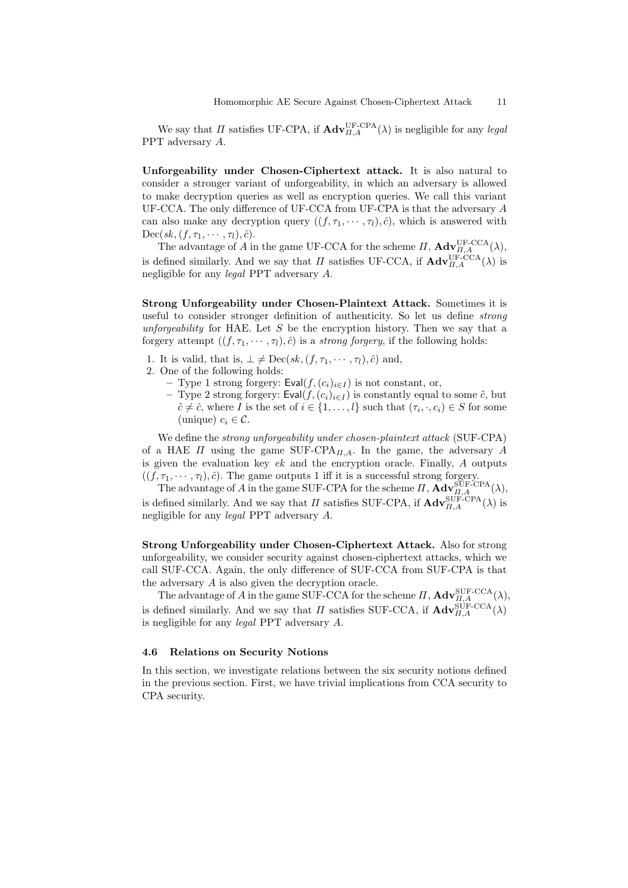We say that  $\Pi$  satisfies UF-CPA, if  $\mathbf{Adv}_{\Pi,A}^{\text{UF-CPA}}(\lambda)$  is negligible for any legal PPT adversary A.

Unforgeability under Chosen-Ciphertext attack. It is also natural to consider a stronger variant of unforgeability, in which an adversary is allowed to make decryption queries as well as encryption queries. We call this variant UF-CCA. The only difference of UF-CCA from UF-CPA is that the adversary A can also make any decryption query  $((f, \tau_1, \dots, \tau_l), \hat{c})$ , which is answered with Dec(sk,  $(f, \tau_1, \cdots, \tau_l)$ , ĉ).

The advantage of A in the game UF-CCA for the scheme  $\Pi$ ,  $\mathbf{Adv}_{II,A}^{\text{UF-CCA}}(\lambda)$ , is defined similarly. And we say that  $\Pi$  satisfies UF-CCA, if  $\mathbf{Adv}_{\Pi,A}^{\text{UF-CCA}}(\lambda)$  is negligible for any legal PPT adversary A.

Strong Unforgeability under Chosen-Plaintext Attack. Sometimes it is useful to consider stronger definition of authenticity. So let us define strong unforgeability for HAE. Let  $S$  be the encryption history. Then we say that a forgery attempt  $((f, \tau_1, \dots, \tau_l), \hat{c})$  is a *strong forgery*, if the following holds:

- 1. It is valid, that is,  $\bot \neq \mathrm{Dec}(sk,(f,\tau_1,\cdots,\tau_l),\hat{c})$  and,
- 2. One of the following holds:
	- Type 1 strong forgery: Eval $(f,(c_i)_{i\in I})$  is not constant, or,
	- Type 2 strong forgery: Eval $(f, (c_i)_{i\in I})$  is constantly equal to some  $\tilde{c}$ , but  $\tilde{c} \neq \hat{c}$ , where I is the set of  $i \in \{1, ..., l\}$  such that  $(\tau_i, \cdot, c_i) \in S$  for some (unique)  $c_i \in \mathcal{C}$ .

We define the *strong unforgeability under chosen-plaintext attack* (SUF-CPA) of a HAE  $\Pi$  using the game SUF-CPA<sub> $\Pi$ </sub>. In the game, the adversary A is given the evaluation key  $ek$  and the encryption oracle. Finally,  $A$  outputs  $((f, \tau_1, \dots, \tau_l), \hat{c})$ . The game outputs 1 iff it is a successful strong forgery.

The advantage of A in the game SUF-CPA for the scheme  $\Pi$ ,  $\mathbf{Adv}_{\Pi,A}^{\text{SUF-CPA}}(\lambda)$ , is defined similarly. And we say that  $\Pi$  satisfies SUF-CPA, if  $\mathbf{Adv}_{\Pi,A}^{\text{SUF-CPA}}(\lambda)$  is negligible for any legal PPT adversary A.

Strong Unforgeability under Chosen-Ciphertext Attack. Also for strong unforgeability, we consider security against chosen-ciphertext attacks, which we call SUF-CCA. Again, the only difference of SUF-CCA from SUF-CPA is that the adversary A is also given the decryption oracle.

The advantage of A in the game SUF-CCA for the scheme  $\Pi$ ,  $\mathbf{Adv}_{\Pi,A}^{\text{SUF-CCA}}(\lambda)$ , is defined similarly. And we say that  $\Pi$  satisfies SUF-CCA, if  $\mathbf{Adv}_{\Pi,A}^{\text{SUF-CCA}}(\lambda)$ is negligible for any legal PPT adversary A.

# 4.6 Relations on Security Notions

In this section, we investigate relations between the six security notions defined in the previous section. First, we have trivial implications from CCA security to CPA security.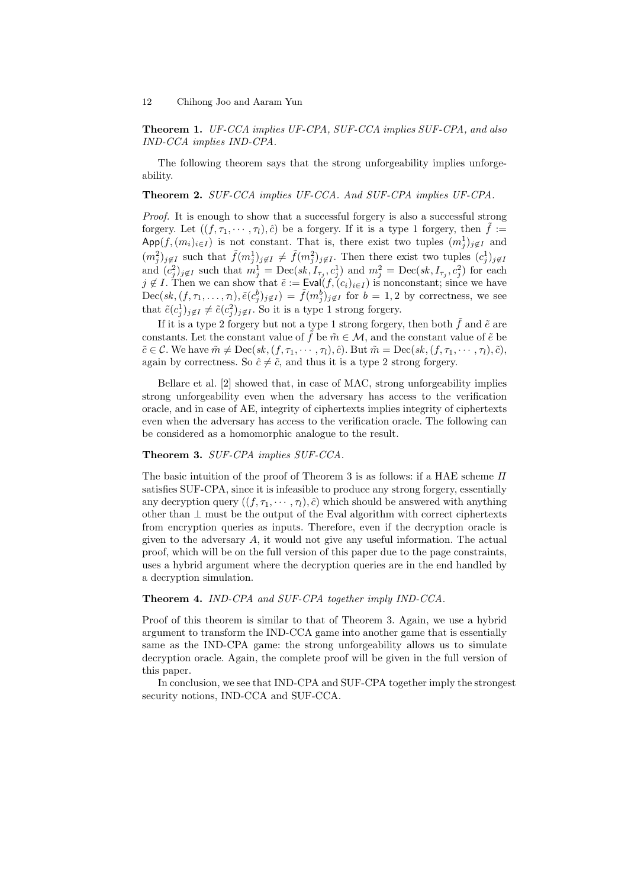Theorem 1. UF-CCA implies UF-CPA, SUF-CCA implies SUF-CPA, and also IND-CCA implies IND-CPA.

The following theorem says that the strong unforgeability implies unforgeability.

Theorem 2. SUF-CCA implies UF-CCA. And SUF-CPA implies UF-CPA.

Proof. It is enough to show that a successful forgery is also a successful strong forgery. Let  $((f, \tau_1, \cdots, \tau_l), \hat{c})$  be a forgery. If it is a type 1 forgery, then  $\tilde{f} :=$ App $(f, (m_i)_{i \in I})$  is not constant. That is, there exist two tuples  $(m_j^1)_{j \notin I}$  and  $(m_j^2)_{j \notin I}$  such that  $\tilde{f}(m_j^1)_{j \notin I} \neq \tilde{f}(m_j^2)_{j \notin I}$ . Then there exist two tuples  $(c_j^1)_{j \notin I}$ and  $(c_j^2)_{j \notin I}$  such that  $m_j^1 = \text{Dec}(sk, I_{\tau_j}, c_j^1)$  and  $m_j^2 = \text{Dec}(sk, I_{\tau_j}, c_j^2)$  for each  $j \notin I$ . Then we can show that  $\tilde{e} := \text{Eval}(f, (c_i)_{i \in I})$  is nonconstant; since we have  $Dec(sk, (f, \tau_1, \ldots, \tau_l), \tilde{e}(c_j^b)_{j \notin I}) = \tilde{f}(m_j^b)_{j \notin I}$  for  $b = 1, 2$  by correctness, we see that  $\tilde{e}(c_j^1)_{j \notin I} \neq \tilde{e}(c_j^2)_{j \notin I}$ . So it is a type 1 strong forgery.

If it is a type 2 forgery but not a type 1 strong forgery, then both  $\tilde{f}$  and  $\tilde{e}$  are constants. Let the constant value of f be  $\tilde{m} \in \mathcal{M}$ , and the constant value of  $\tilde{e}$  be  $\tilde{c} \in \mathcal{C}$ . We have  $\tilde{m} \neq \text{Dec}(sk,(f,\tau_1,\cdots,\tau_l),\hat{c})$ . But  $\tilde{m} = \text{Dec}(sk,(f,\tau_1,\cdots,\tau_l),\tilde{c})$ , again by correctness. So  $\hat{c} \neq \tilde{c}$ , and thus it is a type 2 strong forgery.

Bellare et al. [2] showed that, in case of MAC, strong unforgeability implies strong unforgeability even when the adversary has access to the verification oracle, and in case of AE, integrity of ciphertexts implies integrity of ciphertexts even when the adversary has access to the verification oracle. The following can be considered as a homomorphic analogue to the result.

## Theorem 3. SUF-CPA implies SUF-CCA.

The basic intuition of the proof of Theorem 3 is as follows: if a HAE scheme  $\Pi$ satisfies SUF-CPA, since it is infeasible to produce any strong forgery, essentially any decryption query  $((f, \tau_1, \cdots, \tau_l), \hat{c})$  which should be answered with anything other than  $\perp$  must be the output of the Eval algorithm with correct ciphertexts from encryption queries as inputs. Therefore, even if the decryption oracle is given to the adversary A, it would not give any useful information. The actual proof, which will be on the full version of this paper due to the page constraints, uses a hybrid argument where the decryption queries are in the end handled by a decryption simulation.

### Theorem 4. IND-CPA and SUF-CPA together imply IND-CCA.

Proof of this theorem is similar to that of Theorem 3. Again, we use a hybrid argument to transform the IND-CCA game into another game that is essentially same as the IND-CPA game: the strong unforgeability allows us to simulate decryption oracle. Again, the complete proof will be given in the full version of this paper.

In conclusion, we see that IND-CPA and SUF-CPA together imply the strongest security notions, IND-CCA and SUF-CCA.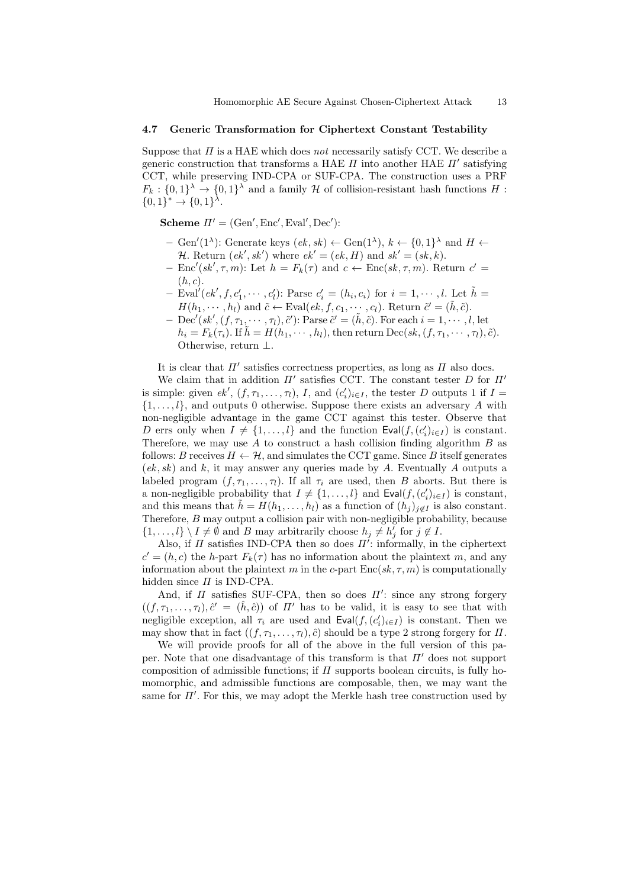#### 4.7 Generic Transformation for Ciphertext Constant Testability

Suppose that  $\Pi$  is a HAE which does not necessarily satisfy CCT. We describe a generic construction that transforms a HAE  $\Pi$  into another HAE  $\Pi'$  satisfying CCT, while preserving IND-CPA or SUF-CPA. The construction uses a PRF  $F_k: \{0,1\}^{\lambda} \to \{0,1\}^{\lambda}$  and a family H of collision-resistant hash functions H :  $\{0,1\}^* \to \{0,1\}^{\lambda}.$ 

Scheme  $\Pi' = (\text{Gen}', \text{Enc}', \text{Eval}', \text{Dec}')$ :

- Gen'(1<sup> $\lambda$ </sup>): Generate keys  $(ek, sk) \leftarrow$  Gen(1<sup> $\lambda$ </sup>),  $k \leftarrow \{0, 1\}^{\lambda}$  and  $H \leftarrow$ H. Return  $(ek', sk')$  where  $ek' = (ek, H)$  and  $sk' = (sk, k)$ .
- Enc'(sk',  $\tau$ , m): Let  $h = F_k(\tau)$  and  $c \leftarrow \text{Enc}(sk, \tau, m)$ . Return  $c' =$  $(h, c)$ .
- Eval<sup>'</sup> $(ek', f, c'_1, \dots, c'_l)$ : Parse  $c'_i = (h_i, c_i)$  for  $i = 1, \dots, l$ . Let  $\tilde{h} =$  $H(h_1, \dots, h_l)$  and  $\tilde{c} \leftarrow \text{Eval}(ek, f, c_1, \dots, c_l)$ . Return  $\tilde{c}' = (\tilde{h}, \tilde{c})$ .
- $-\text{ Dec}'(sk', (f, \tau_1, \cdots, \tau_l), \tilde{c}')$ : Parse  $\tilde{c}' = (\tilde{h}, \tilde{c})$ . For each  $i = 1, \cdots, l$ , let
- $h_i = F_k(\tau_i)$ . If  $\tilde{h} = H(h_1, \dots, h_l)$ , then return  $\text{Dec}(sk, (f, \tau_1, \dots, \tau_l), \tilde{c})$ . Otherwise, return ⊥.

It is clear that  $\Pi'$  satisfies correctness properties, as long as  $\Pi$  also does.

We claim that in addition  $\Pi'$  satisfies CCT. The constant tester D for  $\Pi'$ is simple: given  $ek', (f, \tau_1, \ldots, \tau_l), I$ , and  $(c'_i)_{i \in I}$ , the tester D outputs 1 if  $I =$  $\{1, \ldots, l\}$ , and outputs 0 otherwise. Suppose there exists an adversary A with non-negligible advantage in the game CCT against this tester. Observe that D errs only when  $I \neq \{1, ..., l\}$  and the function  $\textsf{Eval}(f, (c'_i)_{i \in I})$  is constant. Therefore, we may use  $A$  to construct a hash collision finding algorithm  $B$  as follows: B receives  $H \leftarrow \mathcal{H}$ , and simulates the CCT game. Since B itself generates  $(ek, sk)$  and k, it may answer any queries made by A. Eventually A outputs a labeled program  $(f, \tau_1, \ldots, \tau_l)$ . If all  $\tau_i$  are used, then B aborts. But there is a non-negligible probability that  $I \neq \{1, ..., l\}$  and  $\text{Eval}(f, (c'_i)_{i \in I})$  is constant, and this means that  $\tilde{h} = H(h_1, \ldots, h_l)$  as a function of  $(h_j)_{j \notin I}$  is also constant. Therefore, B may output a collision pair with non-negligible probability, because  $\{1,\ldots,l\} \setminus I \neq \emptyset$  and B may arbitrarily choose  $h_j \neq h'_j$  for  $j \notin I$ .

Also, if  $\Pi$  satisfies IND-CPA then so does  $\Pi'$ : informally, in the ciphertext  $c' = (h, c)$  the h-part  $F_k(\tau)$  has no information about the plaintext m, and any information about the plaintext m in the c-part  $Enc(sk, \tau, m)$  is computationally hidden since  $\Pi$  is IND-CPA.

And, if  $\Pi$  satisfies SUF-CPA, then so does  $\Pi'$ : since any strong forgery  $((f, \tau_1, \ldots, \tau_l), \hat{c}' = (\hat{h}, \hat{c}))$  of  $\Pi'$  has to be valid, it is easy to see that with negligible exception, all  $\tau_i$  are used and  $\textsf{Eval}(f, (c_i')_{i \in I})$  is constant. Then we may show that in fact  $((f, \tau_1, \ldots, \tau_l), \hat{c})$  should be a type 2 strong forgery for  $\Pi$ .

We will provide proofs for all of the above in the full version of this paper. Note that one disadvantage of this transform is that  $\Pi'$  does not support composition of admissible functions; if  $\Pi$  supports boolean circuits, is fully homomorphic, and admissible functions are composable, then, we may want the same for  $\Pi'$ . For this, we may adopt the Merkle hash tree construction used by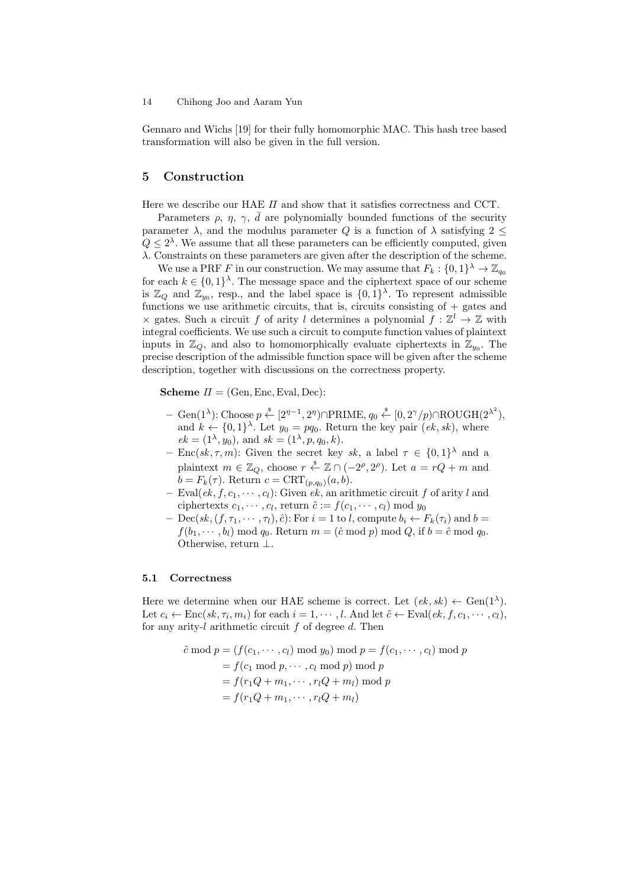Gennaro and Wichs [19] for their fully homomorphic MAC. This hash tree based transformation will also be given in the full version.

# 5 Construction

Here we describe our HAE  $\Pi$  and show that it satisfies correctness and CCT.

Parameters  $\rho$ ,  $\eta$ ,  $\gamma$ ,  $\bar{d}$  are polynomially bounded functions of the security parameter  $\lambda$ , and the modulus parameter Q is a function of  $\lambda$  satisfying  $2 \leq$  $Q \leq 2^{\lambda}$ . We assume that all these parameters can be efficiently computed, given  $\lambda$ . Constraints on these parameters are given after the description of the scheme.

We use a PRF F in our construction. We may assume that  $F_k: \{0,1\}^{\lambda} \to \mathbb{Z}_{q_0}$ for each  $k \in \{0,1\}^{\lambda}$ . The message space and the ciphertext space of our scheme is  $\mathbb{Z}_Q$  and  $\mathbb{Z}_{y_0}$ , resp., and the label space is  $\{0,1\}^{\lambda}$ . To represent admissible functions we use arithmetic circuits, that is, circuits consisting of + gates and  $\times$  gates. Such a circuit f of arity l determines a polynomial  $f: \mathbb{Z}^l \to \mathbb{Z}$  with integral coefficients. We use such a circuit to compute function values of plaintext inputs in  $\mathbb{Z}_Q$ , and also to homomorphically evaluate ciphertexts in  $\mathbb{Z}_{y_0}$ . The precise description of the admissible function space will be given after the scheme description, together with discussions on the correctness property.

**Scheme**  $\Pi = (Gen, Enc, Eva, Dec)$ :

- $-$  Gen(1<sup>λ</sup>): Choose  $p \stackrel{\$}{\leftarrow} [2<sup>η-1</sup>, 2<sup>η</sup>) ∩ PRIME, q₀ \stackrel{\$}{\leftarrow} [0, 2<sup>γ</sup>/p) ∩ ROUGH(2<sup>λ<sup>2</sup></sup>),$ and  $k \leftarrow \{0,1\}^{\lambda}$ . Let  $y_0 = pq_0$ . Return the key pair  $(ek, sk)$ , where  $ek = (1^{\lambda}, y_0)$ , and  $sk = (1^{\lambda}, p, q_0, k)$ .
- Enc(sk,  $\tau$ , m): Given the secret key sk, a label  $\tau \in \{0,1\}^{\lambda}$  and a plaintext  $m \in \mathbb{Z}_Q$ , choose  $r \stackrel{\hspace{0.1em}\mathsf{\scriptscriptstyle\$}}{\leftarrow} \mathbb{Z} \cap (-2^\rho, 2^\rho)$ . Let  $a = rQ + m$  and  $\overline{b} = F_k(\tau)$ . Return  $c = \text{CRT}_{(p,q_0)}(a, b)$ .
- Eval $(ek, f, c_1, \dots, c_l)$ : Given  $ek$ , an arithmetic circuit f of arity l and ciphertexts  $c_1, \dots, c_l$ , return  $\tilde{c} := f(c_1, \dots, c_l) \mod y_0$
- $\text{Dec}(sk, (f, \tau_1, \cdots, \tau_l), \hat{c})$ : For  $i = 1$  to l, compute  $b_i \leftarrow F_k(\tau_i)$  and  $b =$  $f(b_1, \dots, b_l) \bmod q_0$ . Return  $m = (\hat{c} \bmod p) \bmod Q$ , if  $b = \hat{c} \bmod q_0$ . Otherwise, return ⊥.

### 5.1 Correctness

Here we determine when our HAE scheme is correct. Let  $(ek, sk) \leftarrow \text{Gen}(1^{\lambda})$ . Let  $c_i \leftarrow \text{Enc}(sk, \tau_i, m_i)$  for each  $i = 1, \dots, l$ . And let  $\tilde{c} \leftarrow \text{Eval}(ek, f, c_1, \dots, c_l)$ , for any arity-l arithmetic circuit  $f$  of degree  $d$ . Then

$$
\tilde{c} \mod p = (f(c_1, \dots, c_l) \mod y_0) \mod p = f(c_1, \dots, c_l) \mod p
$$

$$
= f(c_1 \mod p, \dots, c_l \mod p) \mod p
$$

$$
= f(r_1Q + m_1, \dots, r_lQ + m_l) \mod p
$$

$$
= f(r_1Q + m_1, \dots, r_lQ + m_l)
$$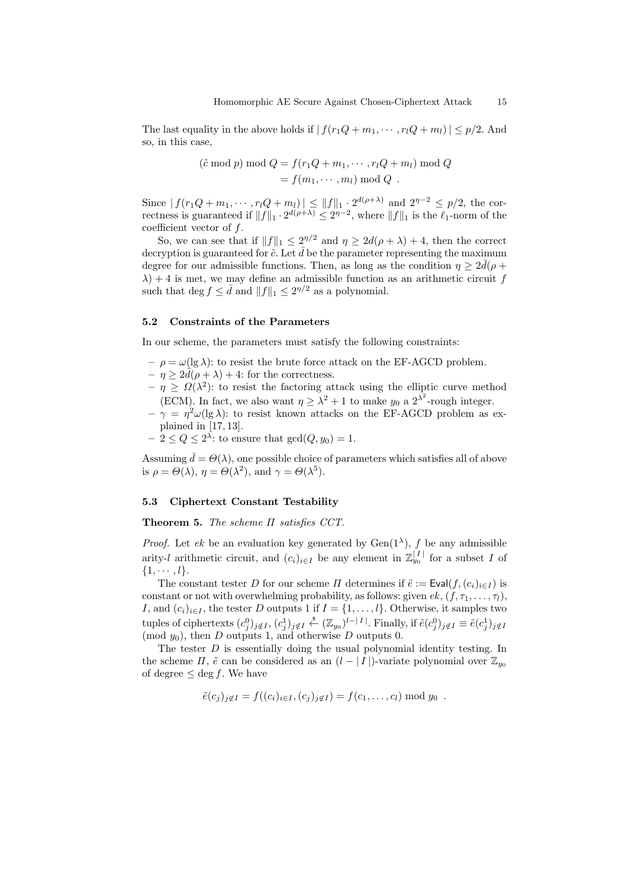The last equality in the above holds if  $|f(r_1Q+m_1,\dots,r_lQ+m_l)| \leq p/2$ . And so, in this case,

$$
(\tilde{c} \bmod p) \bmod Q = f(r_1Q + m_1, \cdots, r_lQ + m_l) \bmod Q
$$

$$
= f(m_1, \cdots, m_l) \bmod Q.
$$

Since  $|f(r_1Q+m_1, \dots, r_lQ+m_l)| \leq ||f||_1 \cdot 2^{d(\rho+\lambda)}$  and  $2^{\eta-2} \leq p/2$ , the correctness is guaranteed if  $||f||_1 \cdot 2^{d(\rho+\lambda)} \leq 2^{\eta-2}$ , where  $||f||_1$  is the  $\ell_1$ -norm of the coefficient vector of f.

So, we can see that if  $||f||_1 \leq 2^{\eta/2}$  and  $\eta \geq 2d(\rho + \lambda) + 4$ , then the correct decryption is guaranteed for  $\tilde{c}$ . Let  $\bar{d}$  be the parameter representing the maximum degree for our admissible functions. Then, as long as the condition  $\eta \geq 2d(\rho +$  $\lambda$ ) + 4 is met, we may define an admissible function as an arithmetic circuit f such that deg  $f \leq d$  and  $||f||_1 \leq 2^{\eta/2}$  as a polynomial.

### 5.2 Constraints of the Parameters

In our scheme, the parameters must satisfy the following constraints:

- $-\rho = \omega(\lg \lambda)$ : to resist the brute force attack on the EF-AGCD problem.
- $-\eta \geq 2d(\rho + \lambda) + 4$ : for the correctness.
- $-\eta \geq \Omega(\lambda^2)$ : to resist the factoring attack using the elliptic curve method (ECM). In fact, we also want  $\eta \geq \lambda^2 + 1$  to make  $y_0$  a  $2^{\lambda^2}$ -rough integer.
- $-\gamma = \eta^2 \omega(\lg \lambda)$ : to resist known attacks on the EF-AGCD problem as explained in [17, 13].
- $-2 \le Q \le 2^{\lambda}$ : to ensure that  $gcd(Q, y_0) = 1$ .

Assuming  $\bar{d} = \Theta(\lambda)$ , one possible choice of parameters which satisfies all of above is  $\rho = \Theta(\lambda)$ ,  $\eta = \Theta(\lambda^2)$ , and  $\gamma = \Theta(\lambda^5)$ .

# 5.3 Ciphertext Constant Testability

Theorem 5. The scheme Π satisfies CCT.

*Proof.* Let  $ek$  be an evaluation key generated by  $Gen(1^{\lambda})$ , f be any admissible arity-l arithmetic circuit, and  $(c_i)_{i \in I}$  be any element in  $\mathbb{Z}_{y_0}^{|I|}$  for a subset I of  $\{1, \cdots, l\}.$ 

The constant tester D for our scheme  $\Pi$  determines if  $\tilde{e} := \text{Eval}(f, (c_i)_{i \in I})$  is constant or not with overwhelming probability, as follows: given  $ek, (f, \tau_1, \ldots, \tau_l)$ , I, and  $(c_i)_{i\in I}$ , the tester D outputs 1 if  $I = \{1, \ldots, l\}$ . Otherwise, it samples two tuples of ciphertexts  $(c_j^0)_{j \notin I}$ ,  $(c_j^1)_{j \notin I} \stackrel{\$}{\leftarrow} (\mathbb{Z}_{y_0})^{l-|I|}$ . Finally, if  $\tilde{e}(c_j^0)_{j \notin I} \equiv \tilde{e}(c_j^1)_{j \notin I}$ (mod  $y_0$ ), then D outputs 1, and otherwise D outputs 0.

The tester D is essentially doing the usual polynomial identity testing. In the scheme  $\Pi$ ,  $\tilde{e}$  can be considered as an  $(l - |I|)$ -variate polynomial over  $\mathbb{Z}_{y_0}$ of degree  $\leq$  deg f. We have

$$
\tilde{e}(c_j)_{j \notin I} = f((c_i)_{i \in I}, (c_j)_{j \notin I}) = f(c_1, \dots, c_l) \bmod y_0.
$$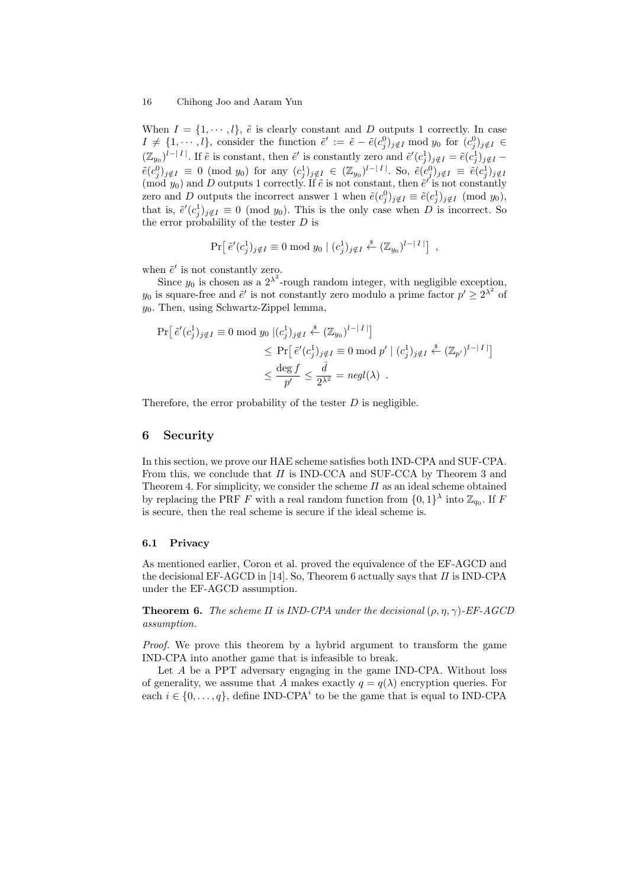When  $I = \{1, \dots, l\}$ ,  $\tilde{e}$  is clearly constant and D outputs 1 correctly. In case  $I \neq \{1, \dots, l\}$ , consider the function  $\tilde{e}' := \tilde{e} - \tilde{e}(c_j^0)_{j \notin I} \mod y_0$  for  $(c_j^0)_{j \notin I} \in$  $(\mathbb{Z}_{y_0})^{l-|I|}$ . If  $\tilde{e}$  is constant, then  $\tilde{e}'$  is constantly zero and  $\tilde{e}'(c_j^1)_{j\notin I} = \tilde{e}(c_j^1)_{j\notin I}$  $\tilde{e}(c_j^0)_{j \notin I} \equiv 0 \pmod{y_0}$  for any  $(c_j^1)_{j \notin I} \in (\mathbb{Z}_{y_0})^{I-|I|}$ . So,  $\tilde{e}(c_j^0)_{j \notin I} \equiv \tilde{e}(c_j^1)_{j \notin I}$ (mod  $y_0$ ) and D outputs 1 correctly. If  $\tilde{e}$  is not constant, then  $\tilde{e}'$  is not constantly zero and D outputs the incorrect answer 1 when  $\tilde{e}(c_j^0)_{j \notin I} \equiv \tilde{e}(c_j^1)_{j \notin I}$  (mod  $y_0$ ), that is,  $\tilde{e}'(c_j^1)_{j \notin I} \equiv 0 \pmod{y_0}$ . This is the only case when D is incorrect. So the error probability of the tester  $D$  is

$$
\Pr\left[\,\tilde{e}'(c_j^1)_{j\notin I} \equiv 0 \,\,\text{mod}\,\, y_0 \mid (c_j^1)_{j\notin I} \stackrel{\hspace{0.1em}\mathsf{\scriptscriptstyle\$}}{\leftarrow} (\mathbb{Z}_{y_0})^{l-|I|}\right] \;,
$$

when  $\tilde{e}'$  is not constantly zero.

Since  $y_0$  is chosen as a  $2^{\lambda^2}$ -rough random integer, with negligible exception,  $y_0$  is square-free and  $\tilde{e}'$  is not constantly zero modulo a prime factor  $p' \geq 2^{\lambda^2}$  of  $y_0$ . Then, using Schwartz-Zippel lemma,

$$
\Pr\left[\tilde{e}'(c_j^1)_{j\notin I} \equiv 0 \mod y_0 \middle| (c_j^1)_{j\notin I} \stackrel{\text{g}}{\leftarrow} (\mathbb{Z}_{y_0})^{l-|I|}\right] \le \Pr\left[\tilde{e}'(c_j^1)_{j\notin I} \equiv 0 \mod p' \middle| (c_j^1)_{j\notin I} \stackrel{\text{g}}{\leftarrow} (\mathbb{Z}_{p'})^{l-|I|}\right] \le \frac{\deg f}{p'} \le \frac{\bar{d}}{2^{\lambda^2}} = negl(\lambda) .
$$

Therefore, the error probability of the tester  $D$  is negligible.

# 6 Security

In this section, we prove our HAE scheme satisfies both IND-CPA and SUF-CPA. From this, we conclude that  $\Pi$  is IND-CCA and SUF-CCA by Theorem 3 and Theorem 4. For simplicity, we consider the scheme  $\Pi$  as an ideal scheme obtained by replacing the PRF F with a real random function from  $\{0,1\}^{\lambda}$  into  $\mathbb{Z}_{q_0}$ . If F is secure, then the real scheme is secure if the ideal scheme is.

### 6.1 Privacy

As mentioned earlier, Coron et al. proved the equivalence of the EF-AGCD and the decisional EF-AGCD in [14]. So, Theorem 6 actually says that  $\Pi$  is IND-CPA under the EF-AGCD assumption.

**Theorem 6.** The scheme  $\Pi$  is IND-CPA under the decisional  $(\rho, \eta, \gamma)$ -EF-AGCD assumption.

Proof. We prove this theorem by a hybrid argument to transform the game IND-CPA into another game that is infeasible to break.

Let A be a PPT adversary engaging in the game IND-CPA. Without loss of generality, we assume that A makes exactly  $q = q(\lambda)$  encryption queries. For each  $i \in \{0, \ldots, q\}$ , define IND-CPA<sup>i</sup> to be the game that is equal to IND-CPA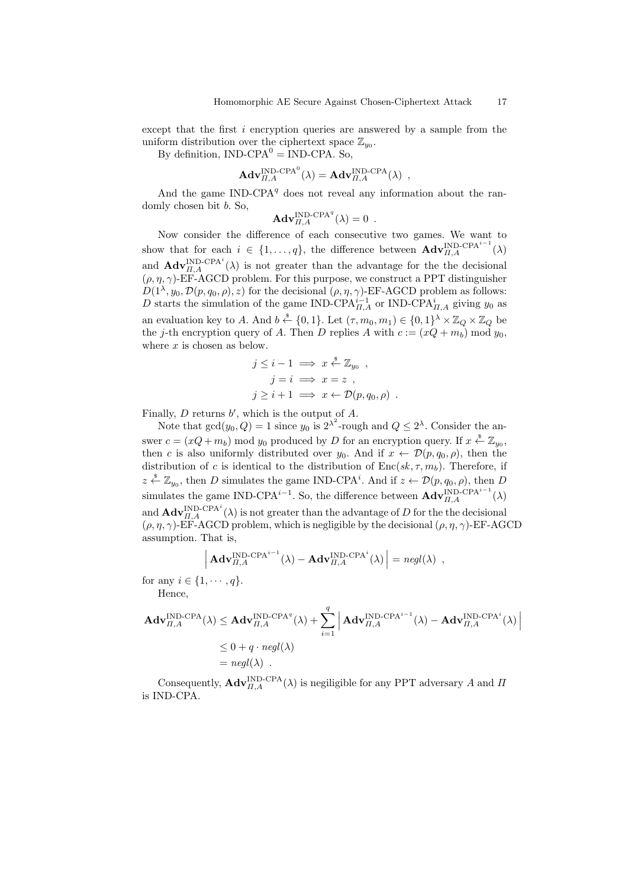except that the first  $i$  encryption queries are answered by a sample from the uniform distribution over the ciphertext space  $\mathbb{Z}_{y_0}$ .

By definition,  $IND-CPA^0 = IND-CPA$ . So,

$$
\mathbf{Adv}_{\Pi,A}^{\text{IND-CPA}^0}(\lambda) = \mathbf{Adv}_{\Pi,A}^{\text{IND-CPA}}(\lambda) ,
$$

And the game  $IND-CPA<sup>q</sup>$  does not reveal any information about the randomly chosen bit  $b$ . So,

$$
\mathbf{Adv}_{\Pi,A}^{\text{IND-CPA}^q}(\lambda) = 0.
$$

Now consider the difference of each consecutive two games. We want to show that for each  $i \in \{1,\ldots,q\}$ , the difference between  $\mathbf{Adv}_{\Pi,A}^{\text{IND-CPA}^{i-1}}(\lambda)$ and  $\mathbf{Adv}_{II,A}^{\text{IND-CPA}^i}(\lambda)$  is not greater than the advantage for the the decisional  $(\rho, \eta, \gamma)$ -EF-AGCD problem. For this purpose, we construct a PPT distinguisher  $D(1^{\lambda}, y_0, \mathcal{D}(p, q_0, \rho), z)$  for the decisional  $(\rho, \eta, \gamma)$ -EF-AGCD problem as follows: D starts the simulation of the game IND-CPA $i_{\Pi,A}^{i-1}$  or IND-CPA $i_{\Pi,A}^i$  giving  $y_0$  as an evaluation key to A. And  $b \stackrel{s}{\leftarrow} \{0,1\}$ . Let  $(\tau, m_0, m_1) \in \{0,1\}^{\lambda} \times \mathbb{Z}_Q \times \mathbb{Z}_Q$  be the j-th encryption query of A. Then D replies A with  $c := (xQ + m_b) \bmod y_0$ , where  $x$  is chosen as below.

$$
j \leq i - 1 \implies x \stackrel{s}{\leftarrow} \mathbb{Z}_{y_0} ,
$$
  
\n
$$
j = i \implies x = z ,
$$
  
\n
$$
j \geq i + 1 \implies x \leftarrow \mathcal{D}(p, q_0, \rho) .
$$

Finally,  $D$  returns  $b'$ , which is the output of  $A$ .

Note that  $gcd(y_0, Q) = 1$  since  $y_0$  is  $2^{\lambda^2}$ -rough and  $Q \le 2^{\lambda}$ . Consider the answer  $c = (xQ + m_b) \mod y_0$  produced by D for an encryption query. If  $x \stackrel{s}{\leftarrow} \mathbb{Z}_{y_0}$ , then c is also uniformly distributed over  $y_0$ . And if  $x \leftarrow \mathcal{D}(p, q_0, \rho)$ , then the distribution of c is identical to the distribution of  $Enc(sk, \tau, m_b)$ . Therefore, if  $z \stackrel{\$}{\leftarrow} \mathbb{Z}_{y_0}$ , then D simulates the game IND-CPA<sup>i</sup>. And if  $z \leftarrow \mathcal{D}(p, q_0, \rho)$ , then D simulates the game IND-CPA<sup>*i*-1</sup>. So, the difference between  $\mathbf{Adv}_{II,A}^{\text{IND-CPA}^{i-1}}(\lambda)$ and  $\mathbf{Adv}_{II,A}^{\text{IND-CPA}^i}(\lambda)$  is not greater than the advantage of D for the the decisional  $(\rho, \eta, \gamma)$ -EF-AGCD problem, which is negligible by the decisional  $(\rho, \eta, \gamma)$ -EF-AGCD assumption. That is,

$$
\left| \mathbf{Adv}_{\Pi,A}^{\text{IND-CPA}^{i-1}}(\lambda) - \mathbf{Adv}_{\Pi,A}^{\text{IND-CPA}^{i}}(\lambda) \right| = negl(\lambda) ,
$$

for any  $i \in \{1, \cdots, q\}.$ Hence,

$$
\mathbf{Adv}_{\Pi,A}^{\text{IND-CPA}}(\lambda) \le \mathbf{Adv}_{\Pi,A}^{\text{IND-CPA}^q}(\lambda) + \sum_{i=1}^q \left| \mathbf{Adv}_{\Pi,A}^{\text{IND-CPA}^{i-1}}(\lambda) - \mathbf{Adv}_{\Pi,A}^{\text{IND-CPA}^i}(\lambda) \right|
$$
  

$$
\le 0 + q \cdot negl(\lambda)
$$
  
= negl(\lambda) .

Consequently,  $\mathbf{Adv}_{\Pi,A}^{\text{IND-CPA}}(\lambda)$  is negiligible for any PPT adversary A and  $\Pi$ is IND-CPA.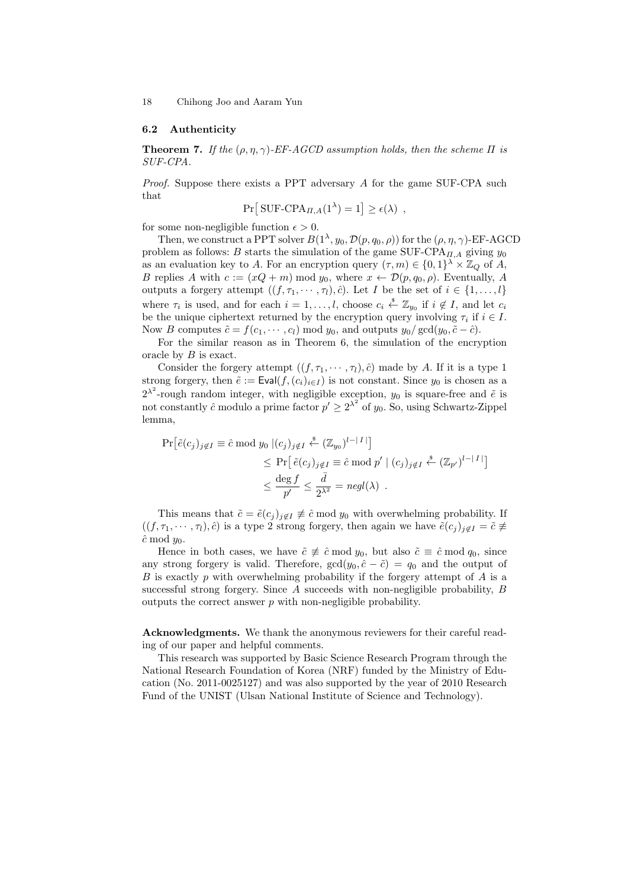#### 6.2 Authenticity

**Theorem 7.** If the  $(\rho, \eta, \gamma)$ -EF-AGCD assumption holds, then the scheme  $\Pi$  is SUF-CPA.

Proof. Suppose there exists a PPT adversary A for the game SUF-CPA such that

$$
Pr[ \text{SUF-CPA}_{\Pi,A}(1^{\lambda}) = 1 ] \ge \epsilon(\lambda) ,
$$

for some non-negligible function  $\epsilon > 0$ .

Then, we construct a PPT solver  $B(1^{\lambda}, y_0, \mathcal{D}(p, q_0, \rho))$  for the  $(\rho, \eta, \gamma)$ -EF-AGCD problem as follows: B starts the simulation of the game SUF-CPA $_{\Pi,A}$  giving  $y_0$ as an evaluation key to A. For an encryption query  $(\tau, m) \in \{0, 1\}^{\lambda} \times \mathbb{Z}_Q$  of A, B replies A with  $c := (xQ + m) \mod y_0$ , where  $x \leftarrow \mathcal{D}(p, q_0, \rho)$ . Eventually, A outputs a forgery attempt  $((f, \tau_1, \cdots, \tau_l), \hat{c})$ . Let I be the set of  $i \in \{1, \ldots, l\}$ where  $\tau_i$  is used, and for each  $i = 1, \ldots, l$ , choose  $c_i \stackrel{\$}{\leftarrow} \mathbb{Z}_{y_0}$  if  $i \notin I$ , and let  $c_i$ be the unique ciphertext returned by the encryption query involving  $\tau_i$  if  $i \in I$ . Now B computes  $\tilde{c} = f(c_1, \dots, c_l) \mod y_0$ , and outputs  $y_0 / \gcd(y_0, \tilde{c} - \hat{c})$ .

For the similar reason as in Theorem 6, the simulation of the encryption oracle by B is exact.

Consider the forgery attempt  $((f, \tau_1, \dots, \tau_l), \hat{c})$  made by A. If it is a type 1 strong forgery, then  $\tilde{e} := \text{Eval}(f, (c_i)_{i \in I})$  is not constant. Since  $y_0$  is chosen as a  $2^{\lambda^2}$ -rough random integer, with negligible exception,  $y_0$  is square-free and  $\tilde{e}$  is not constantly  $\hat{c}$  modulo a prime factor  $p' \geq 2^{\lambda^2}$  of  $y_0$ . So, using Schwartz-Zippel lemma,

$$
\Pr\left[\tilde{e}(c_j)_{j\notin I}\equiv \hat{c} \bmod y_0 \, |(c_j)_{j\notin I} \stackrel{\text{g}}{\leftarrow} (\mathbb{Z}_{y_0})^{l-|I|}\right] \le \Pr\left[\tilde{e}(c_j)_{j\notin I}\equiv \hat{c} \bmod p' \mid (c_j)_{j\notin I} \stackrel{\text{g}}{\leftarrow} (\mathbb{Z}_{p'})^{l-|I|}\right] \le \frac{\deg f}{p'} \le \frac{\bar{d}}{2^{\lambda^2}} = negl(\lambda) .
$$

This means that  $\tilde{c} = \tilde{e}(c_i)_{i \notin I} \neq \hat{c} \mod y_0$  with overwhelming probability. If  $((f, \tau_1, \dots, \tau_l), \hat{c})$  is a type 2 strong forgery, then again we have  $\tilde{e}(c_i)_{i \notin I} = \tilde{c} \neq$  $\hat{c} \mod y_0$ .

Hence in both cases, we have  $\tilde{c} \not\equiv \hat{c} \mod y_0$ , but also  $\tilde{c} \equiv \hat{c} \mod q_0$ , since any strong forgery is valid. Therefore,  $gcd(y_0, \hat{c} - \tilde{c}) = q_0$  and the output of B is exactly  $p$  with overwhelming probability if the forgery attempt of  $A$  is a successful strong forgery. Since  $A$  succeeds with non-negligible probability,  $B$ outputs the correct answer  $p$  with non-negligible probability.

Acknowledgments. We thank the anonymous reviewers for their careful reading of our paper and helpful comments.

This research was supported by Basic Science Research Program through the National Research Foundation of Korea (NRF) funded by the Ministry of Education (No. 2011-0025127) and was also supported by the year of 2010 Research Fund of the UNIST (Ulsan National Institute of Science and Technology).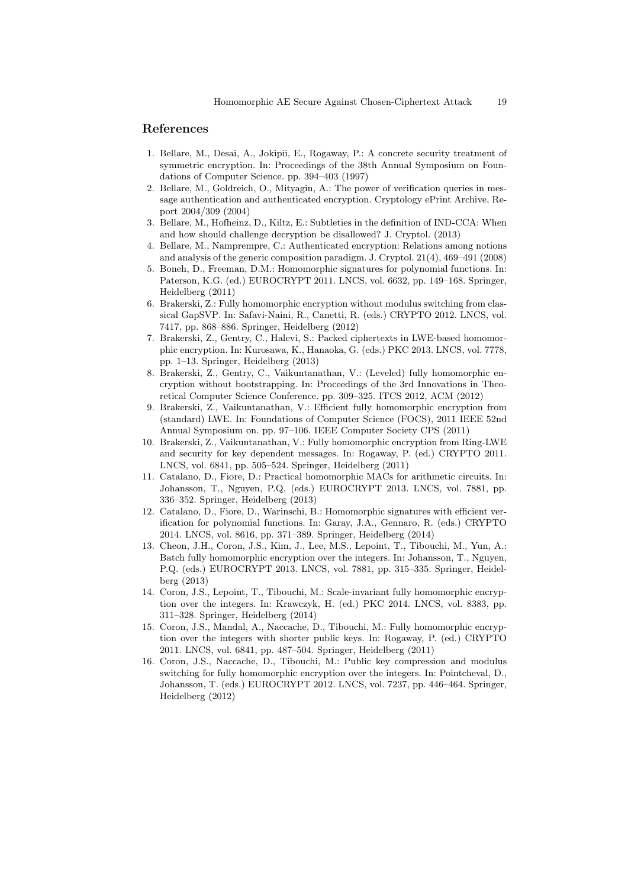# References

- 1. Bellare, M., Desai, A., Jokipii, E., Rogaway, P.: A concrete security treatment of symmetric encryption. In: Proceedings of the 38th Annual Symposium on Foundations of Computer Science. pp. 394–403 (1997)
- 2. Bellare, M., Goldreich, O., Mityagin, A.: The power of verification queries in message authentication and authenticated encryption. Cryptology ePrint Archive, Report 2004/309 (2004)
- 3. Bellare, M., Hofheinz, D., Kiltz, E.: Subtleties in the definition of IND-CCA: When and how should challenge decryption be disallowed? J. Cryptol. (2013)
- 4. Bellare, M., Namprempre, C.: Authenticated encryption: Relations among notions and analysis of the generic composition paradigm. J. Cryptol. 21(4), 469–491 (2008)
- 5. Boneh, D., Freeman, D.M.: Homomorphic signatures for polynomial functions. In: Paterson, K.G. (ed.) EUROCRYPT 2011. LNCS, vol. 6632, pp. 149–168. Springer, Heidelberg (2011)
- 6. Brakerski, Z.: Fully homomorphic encryption without modulus switching from classical GapSVP. In: Safavi-Naini, R., Canetti, R. (eds.) CRYPTO 2012. LNCS, vol. 7417, pp. 868–886. Springer, Heidelberg (2012)
- 7. Brakerski, Z., Gentry, C., Halevi, S.: Packed ciphertexts in LWE-based homomorphic encryption. In: Kurosawa, K., Hanaoka, G. (eds.) PKC 2013. LNCS, vol. 7778, pp. 1–13. Springer, Heidelberg (2013)
- 8. Brakerski, Z., Gentry, C., Vaikuntanathan, V.: (Leveled) fully homomorphic encryption without bootstrapping. In: Proceedings of the 3rd Innovations in Theoretical Computer Science Conference. pp. 309–325. ITCS 2012, ACM (2012)
- 9. Brakerski, Z., Vaikuntanathan, V.: Efficient fully homomorphic encryption from (standard) LWE. In: Foundations of Computer Science (FOCS), 2011 IEEE 52nd Annual Symposium on. pp. 97–106. IEEE Computer Society CPS (2011)
- 10. Brakerski, Z., Vaikuntanathan, V.: Fully homomorphic encryption from Ring-LWE and security for key dependent messages. In: Rogaway, P. (ed.) CRYPTO 2011. LNCS, vol. 6841, pp. 505–524. Springer, Heidelberg (2011)
- 11. Catalano, D., Fiore, D.: Practical homomorphic MACs for arithmetic circuits. In: Johansson, T., Nguyen, P.Q. (eds.) EUROCRYPT 2013. LNCS, vol. 7881, pp. 336–352. Springer, Heidelberg (2013)
- 12. Catalano, D., Fiore, D., Warinschi, B.: Homomorphic signatures with efficient verification for polynomial functions. In: Garay, J.A., Gennaro, R. (eds.) CRYPTO 2014. LNCS, vol. 8616, pp. 371–389. Springer, Heidelberg (2014)
- 13. Cheon, J.H., Coron, J.S., Kim, J., Lee, M.S., Lepoint, T., Tibouchi, M., Yun, A.: Batch fully homomorphic encryption over the integers. In: Johansson, T., Nguyen, P.Q. (eds.) EUROCRYPT 2013. LNCS, vol. 7881, pp. 315–335. Springer, Heidelberg (2013)
- 14. Coron, J.S., Lepoint, T., Tibouchi, M.: Scale-invariant fully homomorphic encryption over the integers. In: Krawczyk, H. (ed.) PKC 2014. LNCS, vol. 8383, pp. 311–328. Springer, Heidelberg (2014)
- 15. Coron, J.S., Mandal, A., Naccache, D., Tibouchi, M.: Fully homomorphic encryption over the integers with shorter public keys. In: Rogaway, P. (ed.) CRYPTO 2011. LNCS, vol. 6841, pp. 487–504. Springer, Heidelberg (2011)
- 16. Coron, J.S., Naccache, D., Tibouchi, M.: Public key compression and modulus switching for fully homomorphic encryption over the integers. In: Pointcheval, D., Johansson, T. (eds.) EUROCRYPT 2012. LNCS, vol. 7237, pp. 446–464. Springer, Heidelberg (2012)